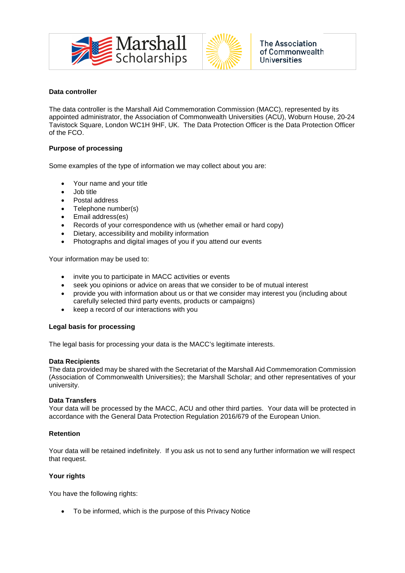



# **Data controller**

The data controller is the Marshall Aid Commemoration Commission (MACC), represented by its appointed administrator, the Association of Commonwealth Universities (ACU), Woburn House, 20-24 Tavistock Square, London WC1H 9HF, UK. The Data Protection Officer is the Data Protection Officer of the FCO.

# **Purpose of processing**

Some examples of the type of information we may collect about you are:

- Your name and your title
- Job title
- Postal address
- Telephone number(s)
- Email address(es)
- Records of your correspondence with us (whether email or hard copy)
- Dietary, accessibility and mobility information
- Photographs and digital images of you if you attend our events

Your information may be used to:

- invite you to participate in MACC activities or events
- seek you opinions or advice on areas that we consider to be of mutual interest
- provide you with information about us or that we consider may interest you (including about carefully selected third party events, products or campaigns)
- keep a record of our interactions with you

## **Legal basis for processing**

The legal basis for processing your data is the MACC's legitimate interests.

### **Data Recipients**

The data provided may be shared with the Secretariat of the Marshall Aid Commemoration Commission (Association of Commonwealth Universities); the Marshall Scholar; and other representatives of your university.

## **Data Transfers**

Your data will be processed by the MACC, ACU and other third parties. Your data will be protected in accordance with the General Data Protection Regulation 2016/679 of the European Union.

## **Retention**

Your data will be retained indefinitely. If you ask us not to send any further information we will respect that request.

## **Your rights**

You have the following rights:

• To be informed, which is the purpose of this Privacy Notice